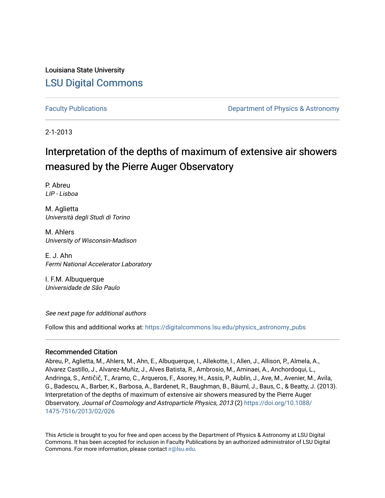Louisiana State University [LSU Digital Commons](https://digitalcommons.lsu.edu/)

[Faculty Publications](https://digitalcommons.lsu.edu/physics_astronomy_pubs) **Example 2** Constant Department of Physics & Astronomy

2-1-2013

## Interpretation of the depths of maximum of extensive air showers measured by the Pierre Auger Observatory

P. Abreu LIP - Lisboa

M. Aglietta Università degli Studi di Torino

M. Ahlers University of Wisconsin-Madison

E. J. Ahn Fermi National Accelerator Laboratory

I. F.M. Albuquerque Universidade de São Paulo

See next page for additional authors

Follow this and additional works at: [https://digitalcommons.lsu.edu/physics\\_astronomy\\_pubs](https://digitalcommons.lsu.edu/physics_astronomy_pubs?utm_source=digitalcommons.lsu.edu%2Fphysics_astronomy_pubs%2F3254&utm_medium=PDF&utm_campaign=PDFCoverPages) 

#### Recommended Citation

Abreu, P., Aglietta, M., Ahlers, M., Ahn, E., Albuquerque, I., Allekotte, I., Allen, J., Allison, P., Almela, A., Alvarez Castillo, J., Alvarez-Muñiz, J., Alves Batista, R., Ambrosio, M., Aminaei, A., Anchordoqui, L., Andringa, S., Antičič, T., Aramo, C., Arqueros, F., Asorey, H., Assis, P., Aublin, J., Ave, M., Avenier, M., Avila, G., Badescu, A., Barber, K., Barbosa, A., Bardenet, R., Baughman, B., Bäuml, J., Baus, C., & Beatty, J. (2013). Interpretation of the depths of maximum of extensive air showers measured by the Pierre Auger Observatory. Journal of Cosmology and Astroparticle Physics, 2013 (2) [https://doi.org/10.1088/](https://doi.org/10.1088/1475-7516/2013/02/026) [1475-7516/2013/02/026](https://doi.org/10.1088/1475-7516/2013/02/026) 

This Article is brought to you for free and open access by the Department of Physics & Astronomy at LSU Digital Commons. It has been accepted for inclusion in Faculty Publications by an authorized administrator of LSU Digital Commons. For more information, please contact [ir@lsu.edu](mailto:ir@lsu.edu).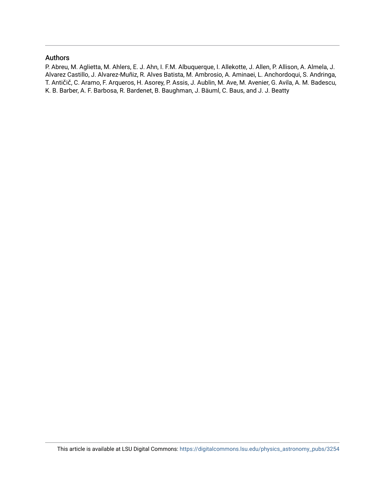#### Authors

P. Abreu, M. Aglietta, M. Ahlers, E. J. Ahn, I. F.M. Albuquerque, I. Allekotte, J. Allen, P. Allison, A. Almela, J. Alvarez Castillo, J. Alvarez-Muñiz, R. Alves Batista, M. Ambrosio, A. Aminaei, L. Anchordoqui, S. Andringa, T. Antičič, C. Aramo, F. Arqueros, H. Asorey, P. Assis, J. Aublin, M. Ave, M. Avenier, G. Avila, A. M. Badescu, K. B. Barber, A. F. Barbosa, R. Bardenet, B. Baughman, J. Bäuml, C. Baus, and J. J. Beatty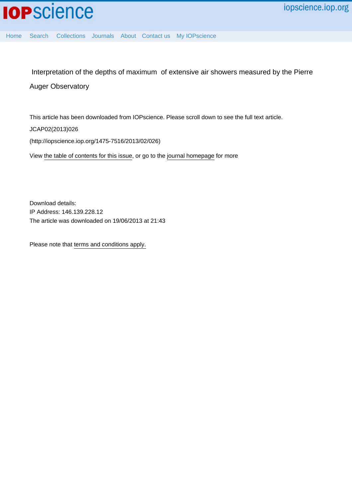

[Home](http://iopscience.iop.org/) [Search](http://iopscience.iop.org/search) [Collections](http://iopscience.iop.org/collections) [Journals](http://iopscience.iop.org/journals) [About](http://iopscience.iop.org/page/aboutioppublishing) [Contact us](http://iopscience.iop.org/contact) [My IOPscience](http://iopscience.iop.org/myiopscience)

 Interpretation of the depths of maximum of extensive air showers measured by the Pierre Auger Observatory

This article has been downloaded from IOPscience. Please scroll down to see the full text article.

JCAP02(2013)026

(http://iopscience.iop.org/1475-7516/2013/02/026)

View [the table of contents for this issue](http://iopscience.iop.org/1475-7516/2013/02), or go to the [journal homepage](http://iopscience.iop.org/1475-7516) for more

Download details: IP Address: 146.139.228.12 The article was downloaded on 19/06/2013 at 21:43

Please note that [terms and conditions apply.](http://iopscience.iop.org/page/terms)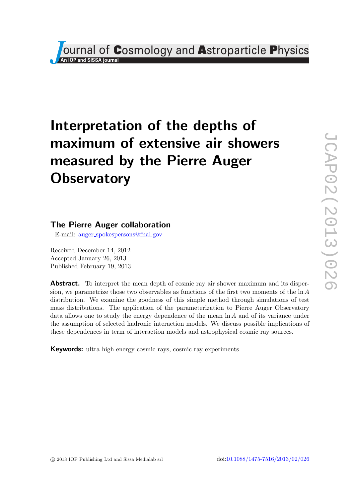# **Journal of Cosmology and Astroparticle Physics**

# Interpretation of the depths of maximum of extensive air showers measured by the Pierre Auger **Observatory**

### The Pierre Auger collaboration

E-mail: auger [spokespersons@fnal.gov](mailto:auger_spokespersons@fnal.gov)

Received December 14, 2012 Accepted January 26, 2013 Published February 19, 2013

Abstract. To interpret the mean depth of cosmic ray air shower maximum and its dispersion, we parametrize those two observables as functions of the first two moments of the ln A distribution. We examine the goodness of this simple method through simulations of test mass distributions. The application of the parameterization to Pierre Auger Observatory data allows one to study the energy dependence of the mean ln A and of its variance under the assumption of selected hadronic interaction models. We discuss possible implications of these dependences in term of interaction models and astrophysical cosmic ray sources.

Keywords: ultra high energy cosmic rays, cosmic ray experiments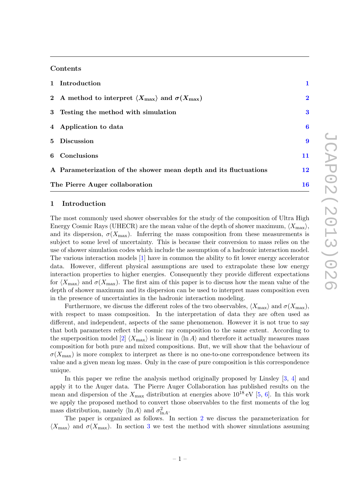#### Contents

|                                | 1 Introduction                                                                        | 1            |  |
|--------------------------------|---------------------------------------------------------------------------------------|--------------|--|
|                                | 2 A method to interpret $\langle X_{\text{max}} \rangle$ and $\sigma(X_{\text{max}})$ | $\mathbf{2}$ |  |
|                                | 3 Testing the method with simulation                                                  | 3            |  |
|                                | 4 Application to data                                                                 | 6            |  |
|                                | 5 Discussion                                                                          | 9            |  |
|                                | 6 Conclusions                                                                         | 11           |  |
|                                | A Parameterization of the shower mean depth and its fluctuations                      | 12           |  |
| The Pierre Auger collaboration |                                                                                       |              |  |

#### <span id="page-4-0"></span>1 Introduction

The most commonly used shower observables for the study of the composition of Ultra High Energy Cosmic Rays (UHECR) are the mean value of the depth of shower maximum,  $\langle X_{\text{max}}\rangle$ , and its dispersion,  $\sigma(X_{\text{max}})$ . Inferring the mass composition from these measurements is subject to some level of uncertainty. This is because their conversion to mass relies on the use of shower simulation codes which include the assumption of a hadronic interaction model. The various interaction models [\[1\]](#page-17-0) have in common the ability to fit lower energy accelerator data. However, different physical assumptions are used to extrapolate these low energy interaction properties to higher energies. Consequently they provide different expectations for  $\langle X_{\text{max}} \rangle$  and  $\sigma(X_{\text{max}})$ . The first aim of this paper is to discuss how the mean value of the depth of shower maximum and its dispersion can be used to interpret mass composition even in the presence of uncertainties in the hadronic interaction modeling.

Furthermore, we discuss the different roles of the two observables,  $\langle X_{\text{max}} \rangle$  and  $\sigma(X_{\text{max}})$ , with respect to mass composition. In the interpretation of data they are often used as different, and independent, aspects of the same phenomenon. However it is not true to say that both parameters reflect the cosmic ray composition to the same extent. According to the superposition model [\[2\]](#page-17-1)  $\langle X_{\text{max}} \rangle$  is linear in  $\langle \ln A \rangle$  and therefore it actually measures mass composition for both pure and mixed compositions. But, we will show that the behaviour of  $\sigma(X_{\text{max}})$  is more complex to interpret as there is no one-to-one correspondence between its value and a given mean log mass. Only in the case of pure composition is this correspondence unique.

In this paper we refine the analysis method originally proposed by Linsley [\[3,](#page-17-2) [4\]](#page-17-3) and apply it to the Auger data. The Pierre Auger Collaboration has published results on the mean and dispersion of the  $X_{\text{max}}$  distribution at energies above  $10^{18} \text{ eV}$  [\[5,](#page-17-4) [6\]](#page-17-5). In this work we apply the proposed method to convert those observables to the first moments of the log mass distribution, namely  $\langle \ln A \rangle$  and  $\sigma_{\ln A}^2$ .

The paper is organized as follows. In section [2](#page-5-0) we discuss the parameterization for  $\langle X_{\rm max} \rangle$  and  $\sigma(X_{\rm max})$ . In section [3](#page-6-0) we test the method with shower simulations assuming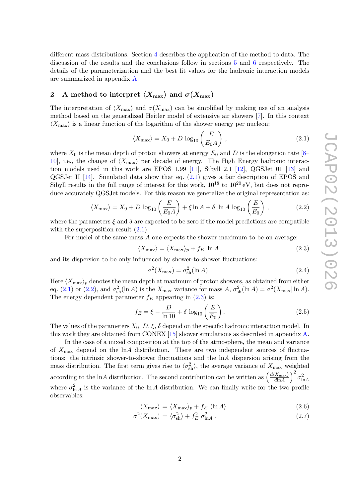different mass distributions. Section [4](#page-9-0) describes the application of the method to data. The discussion of the results and the conclusions follow in sections [5](#page-12-0) and [6](#page-14-0) respectively. The details of the parameterization and the best fit values for the hadronic interaction models are summarized in appendix [A.](#page-15-0)

#### <span id="page-5-0"></span>2 A method to interpret  $\langle X_{\text{max}} \rangle$  and  $\sigma(X_{\text{max}})$

The interpretation of  $\langle X_{\text{max}} \rangle$  and  $\sigma(X_{\text{max}})$  can be simplified by making use of an analysis method based on the generalized Heitler model of extensive air showers [\[7\]](#page-17-6). In this context  $\langle X_{\text{max}} \rangle$  is a linear function of the logarithm of the shower energy per nucleon:

<span id="page-5-1"></span>
$$
\langle X_{\text{max}} \rangle = X_0 + D \log_{10} \left( \frac{E}{E_0 A} \right), \qquad (2.1)
$$

where  $X_0$  is the mean depth of proton showers at energy  $E_0$  and D is the elongation rate [\[8–](#page-17-7) [10\]](#page-17-8), i.e., the change of  $\langle X_{\text{max}} \rangle$  per decade of energy. The High Energy hadronic interaction models used in this work are EPOS 1.99 [\[11\]](#page-17-9), Sibyll 2.1 [\[12\]](#page-17-10), QGSJet 01 [\[13\]](#page-17-11) and QGSJet II [\[14\]](#page-17-12). Simulated data show that eq. [\(2.1\)](#page-5-1) gives a fair description of EPOS and Sibyll results in the full range of interest for this work,  $10^{18}$  to  $10^{20}$  eV, but does not reproduce accurately QGSJet models. For this reason we generalize the original representation as:

<span id="page-5-2"></span>
$$
\langle X_{\text{max}} \rangle = X_0 + D \log_{10} \left( \frac{E}{E_0 A} \right) + \xi \ln A + \delta \ln A \log_{10} \left( \frac{E}{E_0} \right), \tag{2.2}
$$

where the parameters  $\xi$  and  $\delta$  are expected to be zero if the model predictions are compatible with the superposition result  $(2.1)$ .

For nuclei of the same mass A one expects the shower maximum to be on average:

<span id="page-5-3"></span>
$$
\langle X_{\text{max}} \rangle = \langle X_{\text{max}} \rangle_p + f_E \ln A, \qquad (2.3)
$$

and its dispersion to be only influenced by shower-to-shower fluctuations:

$$
\sigma^2(X_{\text{max}}) = \sigma_{\text{sh}}^2(\ln A) \tag{2.4}
$$

Here  $\langle X_{\text{max}}\rangle_p$  denotes the mean depth at maximum of proton showers, as obtained from either eq. [\(2.1\)](#page-5-1) or [\(2.2\)](#page-5-2), and  $\sigma_{\rm sh}^2(\ln A)$  is the  $X_{\rm max}$  variance for mass  $A, \sigma_{\rm sh}^2(\ln A) = \sigma^2(X_{\rm max}|\ln A)$ . The energy dependent parameter  $f_E$  appearing in  $(2.3)$  is:

$$
f_E = \xi - \frac{D}{\ln 10} + \delta \log_{10} \left(\frac{E}{E_0}\right). \tag{2.5}
$$

The values of the parameters  $X_0$ ,  $D$ ,  $\xi$ ,  $\delta$  depend on the specific hadronic interaction model. In this work they are obtained from CONEX [\[15\]](#page-17-13) shower simulations as described in appendix [A.](#page-15-0)

In the case of a mixed composition at the top of the atmosphere, the mean and variance of  $X_{\text{max}}$  depend on the lnA distribution. There are two independent sources of fluctuations: the intrinsic shower-to-shower fluctuations and the  $\ln A$  dispersion arising from the mass distribution. The first term gives rise to  $\langle \sigma_{sh}^2 \rangle$ , the average variance of  $X_{\text{max}}$  weighted according to the lnA distribution. The second contribution can be written as  $\left(\frac{d\langle X_{\text{max}}\rangle}{d\ln A}\right)$  $\frac{\langle X_{\rm max} \rangle}{d {\rm ln} A} \Big)^2 \, \sigma^2_{{\rm ln} A}$ where  $\sigma_{\ln A}^2$  is the variance of the ln A distribution. We can finally write for the two profile observables:

<span id="page-5-4"></span>
$$
\langle X_{\text{max}} \rangle = \langle X_{\text{max}} \rangle_p + f_E \langle \ln A \rangle \tag{2.6}
$$

$$
\sigma^2(X_{\text{max}}) = \langle \sigma_{\text{sh}}^2 \rangle + f_E^2 \sigma_{\text{ln}A}^2 \,. \tag{2.7}
$$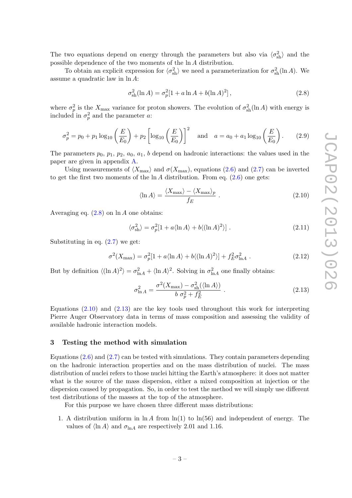The two equations depend on energy through the parameters but also via  $\langle \sigma_{sh}^2 \rangle$  and the possible dependence of the two moments of the ln A distribution.

To obtain an explicit expression for  $\langle \sigma_{sh}^2 \rangle$  we need a parameterization for  $\sigma_{sh}^2(\ln A)$ . We assume a quadratic law in ln A:

<span id="page-6-1"></span>
$$
\sigma_{\rm sh}^2(\ln A) = \sigma_p^2[1 + a \ln A + b(\ln A)^2],\tag{2.8}
$$

where  $\sigma_p^2$  is the  $X_{\text{max}}$  variance for proton showers. The evolution of  $\sigma_{sh}^2(\ln A)$  with energy is included in  $\sigma_p^2$  and the parameter a:

<span id="page-6-4"></span>
$$
\sigma_p^2 = p_0 + p_1 \log_{10} \left(\frac{E}{E_0}\right) + p_2 \left[\log_{10} \left(\frac{E}{E_0}\right)\right]^2 \quad \text{and} \quad a = a_0 + a_1 \log_{10} \left(\frac{E}{E_0}\right). \tag{2.9}
$$

The parameters  $p_0$ ,  $p_1$ ,  $p_2$ ,  $a_0$ ,  $a_1$ , b depend on hadronic interactions: the values used in the paper are given in appendix [A.](#page-15-0)

Using measurements of  $\langle X_{\text{max}} \rangle$  and  $\sigma(X_{\text{max}})$ , equations [\(2.6\)](#page-5-4) and [\(2.7\)](#page-5-4) can be inverted to get the first two moments of the  $\ln A$  distribution. From eq.  $(2.6)$  one gets:

<span id="page-6-2"></span>
$$
\langle \ln A \rangle = \frac{\langle X_{\text{max}} \rangle - \langle X_{\text{max}} \rangle_p}{f_E} \ . \tag{2.10}
$$

Averaging eq.  $(2.8)$  on  $\ln A$  one obtains:

$$
\langle \sigma_{\rm sh}^2 \rangle = \sigma_p^2 [1 + a \langle \ln A \rangle + b \langle (\ln A)^2 \rangle] \ . \tag{2.11}
$$

Substituting in eq.  $(2.7)$  we get:

$$
\sigma^2(X_{\text{max}}) = \sigma_p^2[1 + a\langle \ln A \rangle + b\langle (\ln A)^2 \rangle] + f_E^2 \sigma_{\ln A}^2. \tag{2.12}
$$

But by definition  $\langle (\ln A)^2 \rangle = \sigma_{\ln A}^2 + \langle \ln A \rangle^2$ . Solving in  $\sigma_{\ln A}^2$  one finally obtains:

<span id="page-6-3"></span>
$$
\sigma_{\ln A}^2 = \frac{\sigma^2 (X_{\text{max}}) - \sigma_{\text{sh}}^2 (\langle \ln A \rangle)}{b \sigma_p^2 + f_E^2} \tag{2.13}
$$

Equations  $(2.10)$  and  $(2.13)$  are the key tools used throughout this work for interpreting Pierre Auger Observatory data in terms of mass composition and assessing the validity of available hadronic interaction models.

#### <span id="page-6-0"></span>3 Testing the method with simulation

Equations  $(2.6)$  and  $(2.7)$  can be tested with simulations. They contain parameters depending on the hadronic interaction properties and on the mass distribution of nuclei. The mass distribution of nuclei refers to those nuclei hitting the Earth's atmosphere: it does not matter what is the source of the mass dispersion, either a mixed composition at injection or the dispersion caused by propagation. So, in order to test the method we will simply use different test distributions of the masses at the top of the atmosphere.

For this purpose we have chosen three different mass distributions:

1. A distribution uniform in  $\ln A$  from  $\ln(1)$  to  $\ln(56)$  and independent of energy. The values of  $\langle \ln A \rangle$  and  $\sigma_{\ln A}$  are respectively 2.01 and 1.16.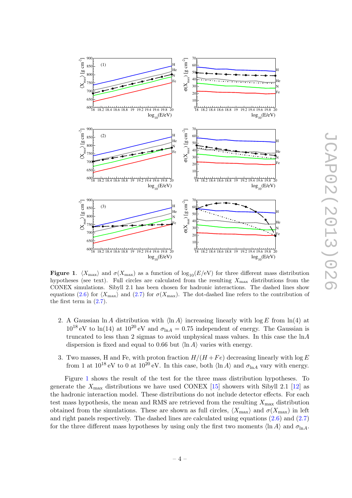

<span id="page-7-0"></span>Figure 1.  $\langle X_{\text{max}} \rangle$  and  $\sigma(X_{\text{max}})$  as a function of log<sub>10</sub>(E/eV) for three different mass distribution hypotheses (see text). Full circles are calculated from the resulting  $X_{\text{max}}$  distributions from the CONEX simulations. Sibyll 2.1 has been chosen for hadronic interactions. The dashed lines show equations [\(2.6\)](#page-5-4) for  $\langle X_{\text{max}} \rangle$  and [\(2.7\)](#page-5-4) for  $\sigma(X_{\text{max}})$ . The dot-dashed line refers to the contribution of the first term in [\(2.7\)](#page-5-4).

- 2. A Gaussian ln A distribution with  $\langle \ln A \rangle$  increasing linearly with log E from ln(4) at  $10^{18}$  eV to ln(14) at  $10^{20}$  eV and  $\sigma_{\ln A} = 0.75$  independent of energy. The Gaussian is truncated to less than 2 sigmas to avoid unphysical mass values. In this case the lnA dispersion is fixed and equal to 0.66 but  $\langle \ln A \rangle$  varies with energy.
- 3. Two masses, H and Fe, with proton fraction  $H/(H + Fe)$  decreasing linearly with log E from 1 at  $10^{18}$  eV to 0 at  $10^{20}$  eV. In this case, both  $\langle \ln A \rangle$  and  $\sigma_{\ln A}$  vary with energy.

Figure [1](#page-7-0) shows the result of the test for the three mass distribution hypotheses. To generate the  $X_{\text{max}}$  distributions we have used CONEX [\[15\]](#page-17-13) showers with Sibyll 2.1 [\[12\]](#page-17-10) as the hadronic interaction model. These distributions do not include detector effects. For each test mass hypothesis, the mean and RMS are retrieved from the resulting  $X_{\text{max}}$  distribution obtained from the simulations. These are shown as full circles,  $\langle X_{\text{max}} \rangle$  and  $\sigma(X_{\text{max}})$  in left and right panels respectively. The dashed lines are calculated using equations [\(2.6\)](#page-5-4) and [\(2.7\)](#page-5-4) for the three different mass hypotheses by using only the first two moments  $\langle \ln A \rangle$  and  $\sigma_{\ln A}$ .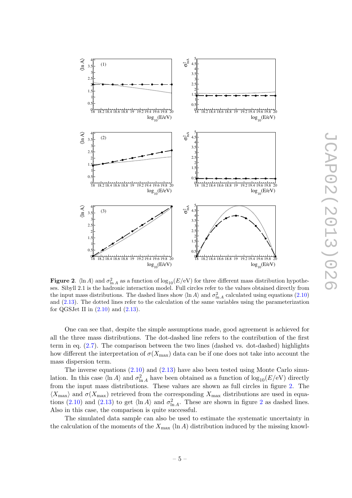

**JCAP02(2013)026** JCAP02(2013)026

<span id="page-8-0"></span>Figure 2.  $\langle \ln A \rangle$  and  $\sigma_{\ln A}^2$  as a function of  $\log_{10}(E/\text{eV})$  for three different mass distribution hypotheses. Sibyll 2.1 is the hadronic interaction model. Full circles refer to the values obtained directly from the input mass distributions. The dashed lines show  $\langle \ln A \rangle$  and  $\sigma_{\ln A}^2$  calculated using equations [\(2.10\)](#page-6-2) and [\(2.13\)](#page-6-3). The dotted lines refer to the calculation of the same variables using the parameterization for QGSJet II in  $(2.10)$  and  $(2.13)$ .

One can see that, despite the simple assumptions made, good agreement is achieved for all the three mass distributions. The dot-dashed line refers to the contribution of the first term in eq.  $(2.7)$ . The comparison between the two lines (dashed vs. dot-dashed) highlights how different the interpretation of  $\sigma(X_{\text{max}})$  data can be if one does not take into account the mass dispersion term.

The inverse equations  $(2.10)$  and  $(2.13)$  have also been tested using Monte Carlo simulation. In this case  $\langle \ln A \rangle$  and  $\sigma_{\ln A}^2$  have been obtained as a function of  $\log_{10}(E/\text{eV})$  directly from the input mass distributions. These values are shown as full circles in figure [2.](#page-8-0) The  $\langle X_{\text{max}} \rangle$  and  $\sigma(X_{\text{max}})$  retrieved from the corresponding  $X_{\text{max}}$  distributions are used in equa-tions [\(2.10\)](#page-6-2) and [\(2.13\)](#page-6-3) to get  $\langle \ln A \rangle$  and  $\sigma_{\ln A}^2$  $\sigma_{\ln A}^2$ . These are shown in figure 2 as dashed lines. Also in this case, the comparison is quite successful.

The simulated data sample can also be used to estimate the systematic uncertainty in the calculation of the moments of the  $X_{\text{max}}$  (ln A) distribution induced by the missing knowl-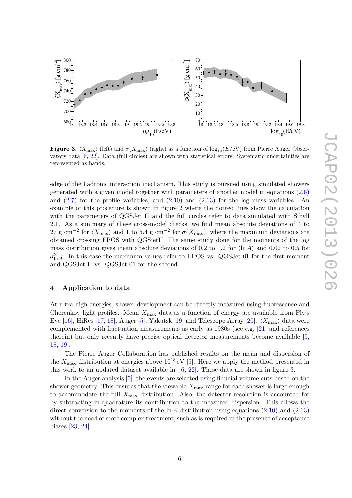

<span id="page-9-1"></span>**Figure 3.**  $\langle X_{\text{max}} \rangle$  (left) and  $\sigma(X_{\text{max}})$  (right) as a function of  $\log_{10}(E/\text{eV})$  from Pierre Auger Observatory data [\[6,](#page-17-5) [22\]](#page-18-0). Data (full circles) are shown with statistical errors. Systematic uncertainties are represented as bands.

edge of the hadronic interaction mechanism. This study is pursued using simulated showers generated with a given model together with parameters of another model in equations [\(2.6\)](#page-5-4) and [\(2.7\)](#page-5-4) for the profile variables, and [\(2.10\)](#page-6-2) and [\(2.13\)](#page-6-3) for the log mass variables. An example of this procedure is shown in figure [2](#page-8-0) where the dotted lines show the calculation with the parameters of QGSJet II and the full circles refer to data simulated with Sibyll 2.1. As a summary of these cross-model checks, we find mean absolute deviations of 4 to 27 g cm<sup>-2</sup> for  $\langle X_{\rm max} \rangle$  and 1 to 5.4 g cm<sup>-2</sup> for  $\sigma(X_{\rm max})$ , where the maximum deviations are obtained crossing EPOS with QGSjetII. The same study done for the moments of the log mass distribution gives mean absolute deviations of 0.2 to 1.2 for  $\langle \ln A \rangle$  and 0.02 to 0.5 for  $\sigma_{\ln A}^2$ . In this case the maximum values refer to EPOS vs. QGSJet 01 for the first moment and QGSJet II vs. QGSJet 01 for the second.

#### <span id="page-9-0"></span>4 Application to data

At ultra-high energies, shower development can be directly measured using fluorescence and Cherenkov light profiles. Mean  $X_{\text{max}}$  data as a function of energy are available from Fly's Eye [\[16\]](#page-17-14), HiRes [\[17,](#page-17-15) [18\]](#page-17-16), Auger [\[5\]](#page-17-4), Yakutsk [\[19\]](#page-17-17) and Telescope Array [\[20\]](#page-18-1).  $\langle X_{\rm max} \rangle$  data were complemented with fluctuation measurements as early as 1980s (see e.g. [\[21\]](#page-18-2) and references therein) but only recently have precise optical detector measurements become available [\[5,](#page-17-4) [18,](#page-17-16) [19\]](#page-17-17).

The Pierre Auger Collaboration has published results on the mean and dispersion of the  $X_{\text{max}}$  distribution at energies above  $10^{18}$  eV [\[5\]](#page-17-4). Here we apply the method presented in this work to an updated dataset available in  $[6, 22]$  $[6, 22]$  $[6, 22]$ . These data are shown in figure [3.](#page-9-1)

In the Auger analysis [\[5\]](#page-17-4), the events are selected using fiducial volume cuts based on the shower geometry. This ensures that the viewable  $X_{\text{max}}$  range for each shower is large enough to accommodate the full  $X_{\text{max}}$  distribution. Also, the detector resolution is accounted for by subtracting in quadrature its contribution to the measured dispersion. This allows the direct conversion to the moments of the  $\ln A$  distribution using equations [\(2.10\)](#page-6-2) and [\(2.13\)](#page-6-3) without the need of more complex treatment, such as is required in the presence of acceptance biases [\[23,](#page-18-3) [24\]](#page-18-4).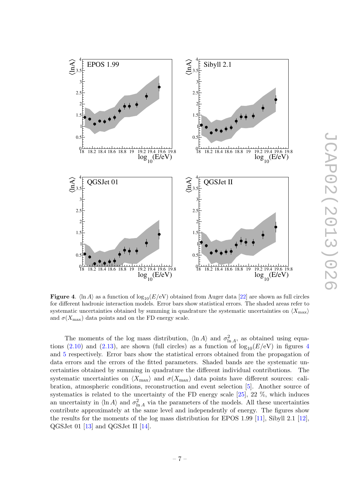

<span id="page-10-0"></span>Figure 4.  $\ln A$  as a function of  $\log_{10}(E/\text{eV})$  obtained from Auger data [\[22\]](#page-18-0) are shown as full circles for different hadronic interaction models. Error bars show statistical errors. The shaded areas refer to systematic uncertainties obtained by summing in quadrature the systematic uncertainties on  $\langle X_{\rm max} \rangle$ and  $\sigma(X_{\text{max}})$  data points and on the FD energy scale.

The moments of the log mass distribution,  $\langle \ln A \rangle$  and  $\sigma_{\ln A}^2$ , as obtained using equa-tions [\(2.10\)](#page-6-2) and [\(2.13\)](#page-6-3), are shown (full circles) as a function of  $log_{10}(E/eV)$  in figures [4](#page-10-0) and [5](#page-11-0) respectively. Error bars show the statistical errors obtained from the propagation of data errors and the errors of the fitted parameters. Shaded bands are the systematic uncertainties obtained by summing in quadrature the different individual contributions. The systematic uncertainties on  $\langle X_{\text{max}} \rangle$  and  $\sigma(X_{\text{max}})$  data points have different sources: calibration, atmospheric conditions, reconstruction and event selection [\[5\]](#page-17-4). Another source of systematics is related to the uncertainty of the FD energy scale [\[25\]](#page-18-5), 22 %, which induces an uncertainty in  $\langle \ln A \rangle$  and  $\sigma_{\ln A}^2$  via the parameters of the models. All these uncertainties contribute approximately at the same level and independently of energy. The figures show the results for the moments of the log mass distribution for EPOS 1.99 [\[11\]](#page-17-9), Sibyll 2.1 [\[12\]](#page-17-10), QGSJet 01 [\[13\]](#page-17-11) and QGSJet II [\[14\]](#page-17-12).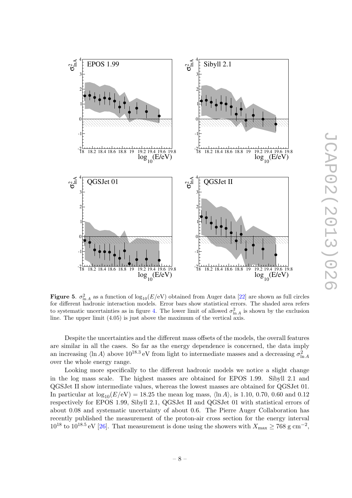

<span id="page-11-0"></span>Figure 5.  $\sigma_{\ln A}^2$  as a function of  $\log_{10}(E/\text{eV})$  obtained from Auger data [\[22\]](#page-18-0) are shown as full circles for different hadronic interaction models. Error bars show statistical errors. The shaded area refers to systematic uncertainties as in figure [4.](#page-10-0) The lower limit of allowed  $\sigma_{\ln A}^2$  is shown by the exclusion line. The upper limit (4.05) is just above the maximum of the vertical axis.

Despite the uncertainties and the different mass offsets of the models, the overall features are similar in all the cases. So far as the energy dependence is concerned, the data imply an increasing  $\langle \ln A \rangle$  above  $10^{18.3}$  eV from light to intermediate masses and a decreasing  $\sigma_{\ln A}^2$ over the whole energy range.

Looking more specifically to the different hadronic models we notice a slight change in the log mass scale. The highest masses are obtained for EPOS 1.99. Sibyll 2.1 and QGSJet II show intermediate values, whereas the lowest masses are obtained for QGSJet 01. In particular at  $\log_{10}(E/\text{eV}) = 18.25$  the mean log mass,  $\langle \ln A \rangle$ , is 1.10, 0.70, 0.60 and 0.12 respectively for EPOS 1.99, Sibyll 2.1, QGSJet II and QGSJet 01 with statistical errors of about 0.08 and systematic uncertainty of about 0.6. The Pierre Auger Collaboration has recently published the measurement of the proton-air cross section for the energy interval  $10^{18}$  to  $10^{18.5}$  eV [\[26\]](#page-18-6). That measurement is done using the showers with  $X_{\text{max}} \ge 768$  g cm<sup>-2</sup>,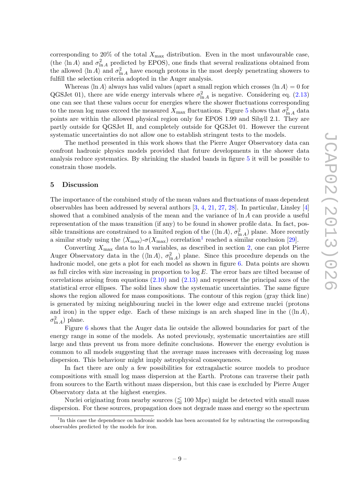corresponding to 20% of the total  $X_{\text{max}}$  distribution. Even in the most unfavourable case, (the  $\langle \ln A \rangle$  and  $\sigma_{\ln A}^2$  predicted by EPOS), one finds that several realizations obtained from the allowed  $\langle \ln A \rangle$  and  $\sigma_{\ln A}^2$  have enough protons in the most deeply penetrating showers to fulfill the selection criteria adopted in the Auger analysis.

Whereas  $\langle \ln A \rangle$  always has valid values (apart a small region which crosses  $\langle \ln A \rangle = 0$  for QGSJet 01), there are wide energy intervals where  $\sigma_{\ln A}^2$  is negative. Considering eq. [\(2.13\)](#page-6-3) one can see that these values occur for energies where the shower fluctuations corresponding to the mean log mass exceed the measured  $X_{\text{max}}$  fluctuations. Figure [5](#page-11-0) shows that  $\sigma_{\ln A}^2$  data points are within the allowed physical region only for EPOS 1.99 and Sibyll 2.1. They are partly outside for QGSJet II, and completely outside for QGSJet 01. However the current systematic uncertainties do not allow one to establish stringent tests to the models.

The method presented in this work shows that the Pierre Auger Observatory data can confront hadronic physics models provided that future developments in the shower data analysis reduce systematics. By shrinking the shaded bands in figure [5](#page-11-0) it will be possible to constrain those models.

#### <span id="page-12-0"></span>5 Discussion

The importance of the combined study of the mean values and fluctuations of mass dependent observables has been addressed by several authors [\[3,](#page-17-2) [4,](#page-17-3) [21,](#page-18-2) [27,](#page-18-7) [28\]](#page-18-8). In particular, Linsley [\[4\]](#page-17-3) showed that a combined analysis of the mean and the variance of ln A can provide a useful representation of the mass transition (if any) to be found in shower profile data. In fact, possible transitions are constrained to a limited region of the  $(\langle \ln A \rangle, \sigma_{\ln A}^2)$  plane. More recently a similar study using the  $\langle X_{\rm max}\rangle$ -σ $(X_{\rm max})$  correlation<sup>[1](#page-12-1)</sup> reached a similar conclusion [\[29\]](#page-18-9).

Converting  $X_{\text{max}}$  data to  $\ln A$  variables, as described in section [2,](#page-5-0) one can plot Pierre Auger Observatory data in the  $(\langle \ln A \rangle, \sigma_{\ln A}^2)$  plane. Since this procedure depends on the hadronic model, one gets a plot for each model as shown in figure [6.](#page-13-0) Data points are shown as full circles with size increasing in proportion to  $\log E$ . The error bars are tilted because of correlations arising from equations  $(2.10)$  and  $(2.13)$  and represent the principal axes of the statistical error ellipses. The solid lines show the systematic uncertainties. The same figure shows the region allowed for mass compositions. The contour of this region (gray thick line) is generated by mixing neighbouring nuclei in the lower edge and extreme nuclei (protons and iron) in the upper edge. Each of these mixings is an arch shaped line in the  $(\langle \ln A \rangle, \langle \ln A \rangle)$  $\sigma_{\ln A}^2$ ) plane.

Figure [6](#page-13-0) shows that the Auger data lie outside the allowed boundaries for part of the energy range in some of the models. As noted previously, systematic uncertainties are still large and thus prevent us from more definite conclusions. However the energy evolution is common to all models suggesting that the average mass increases with decreasing log mass dispersion. This behaviour might imply astrophysical consequences.

In fact there are only a few possibilities for extragalactic source models to produce compositions with small log mass dispersion at the Earth. Protons can traverse their path from sources to the Earth without mass dispersion, but this case is excluded by Pierre Auger Observatory data at the highest energies.

Nuclei originating from nearby sources ( $\leq 100$  Mpc) might be detected with small mass dispersion. For these sources, propagation does not degrade mass and energy so the spectrum

<span id="page-12-1"></span><sup>&</sup>lt;sup>1</sup>In this case the dependence on hadronic models has been accounted for by subtracting the corresponding observables predicted by the models for iron.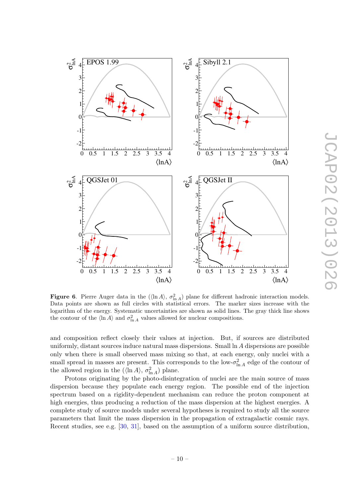

<span id="page-13-0"></span>**Figure 6.** Pierre Auger data in the  $(\langle \ln A \rangle, \sigma_{\ln A}^2)$  plane for different hadronic interaction models. Data points are shown as full circles with statistical errors. The marker sizes increase with the logarithm of the energy. Systematic uncertainties are shown as solid lines. The gray thick line shows the contour of the  $\langle \ln A \rangle$  and  $\sigma_{\ln A}^2$  values allowed for nuclear compositions.

and composition reflect closely their values at injection. But, if sources are distributed uniformly, distant sources induce natural mass dispersions. Small ln A dispersions are possible only when there is small observed mass mixing so that, at each energy, only nuclei with a small spread in masses are present. This corresponds to the low- $\sigma_{\ln A}^2$  edge of the contour of the allowed region in the  $(\langle \ln A \rangle, \sigma_{\ln A}^2)$  plane.

Protons originating by the photo-disintegration of nuclei are the main source of mass dispersion because they populate each energy region. The possible end of the injection spectrum based on a rigidity-dependent mechanism can reduce the proton component at high energies, thus producing a reduction of the mass dispersion at the highest energies. A complete study of source models under several hypotheses is required to study all the source parameters that limit the mass dispersion in the propagation of extragalactic cosmic rays. Recent studies, see e.g. [\[30,](#page-18-10) [31\]](#page-18-11), based on the assumption of a uniform source distribution,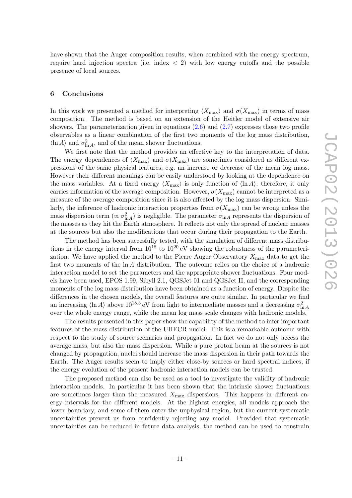have shown that the Auger composition results, when combined with the energy spectrum, require hard injection spectra (i.e. index  $\langle 2 \rangle$ ) with low energy cutoffs and the possible presence of local sources.

#### <span id="page-14-0"></span>6 Conclusions

In this work we presented a method for interpreting  $\langle X_{\text{max}} \rangle$  and  $\sigma(X_{\text{max}})$  in terms of mass composition. The method is based on an extension of the Heitler model of extensive air showers. The parameterization given in equations  $(2.6)$  and  $(2.7)$  expresses those two profile observables as a linear combination of the first two moments of the log mass distribution,  $\langle \ln A \rangle$  and  $\sigma_{\ln A}^2$ , and of the mean shower fluctuations.

We first note that the method provides an effective key to the interpretation of data. The energy dependences of  $\langle X_{\rm max} \rangle$  and  $\sigma(X_{\rm max})$  are sometimes considered as different expressions of the same physical features, e.g. an increase or decrease of the mean log mass. However their different meanings can be easily understood by looking at the dependence on the mass variables. At a fixed energy  $\langle X_{\text{max}} \rangle$  is only function of  $\langle \ln A \rangle$ ; therefore, it only carries information of the average composition. However,  $\sigma(X_{\text{max}})$  cannot be interpreted as a measure of the average composition since it is also affected by the log mass dispersion. Similarly, the inference of hadronic interaction properties from  $\sigma(X_{\text{max}})$  can be wrong unless the mass dispersion term ( $\propto \sigma_{\ln A}^2$ ) is negligible. The parameter  $\sigma_{\ln A}$  represents the dispersion of the masses as they hit the Earth atmosphere. It reflects not only the spread of nuclear masses at the sources but also the modifications that occur during their propagation to the Earth.

The method has been succesfully tested, with the simulation of different mass distributions in the energy interval from  $10^{18}$  to  $10^{20}$  eV showing the robustness of the parameterization. We have applied the method to the Pierre Auger Observatory  $X_{\text{max}}$  data to get the first two moments of the ln A distribution. The outcome relies on the choice of a hadronic interaction model to set the parameters and the appropriate shower fluctuations. Four models have been used, EPOS 1.99, Sibyll 2.1, QGSJet 01 and QGSJet II, and the corresponding moments of the log mass distribution have been obtained as a function of energy. Despite the differences in the chosen models, the overall features are quite similar. In particular we find an increasing  $\langle \ln A \rangle$  above  $10^{18.3}$  eV from light to intermediate masses and a decreasing  $\sigma_{\ln A}^2$ over the whole energy range, while the mean log mass scale changes with hadronic models.

The results presented in this paper show the capability of the method to infer important features of the mass distribution of the UHECR nuclei. This is a remarkable outcome with respect to the study of source scenarios and propagation. In fact we do not only access the average mass, but also the mass dispersion. While a pure proton beam at the sources is not changed by propagation, nuclei should increase the mass dispersion in their path towards the Earth. The Auger results seem to imply either close-by sources or hard spectral indices, if the energy evolution of the present hadronic interaction models can be trusted.

The proposed method can also be used as a tool to investigate the validity of hadronic interaction models. In particular it has been shown that the intrinsic shower fluctuations are sometimes larger than the measured  $X_{\text{max}}$  dispersions. This happens in different energy intervals for the different models. At the highest energies, all models approach the lower boundary, and some of them enter the unphysical region, but the current systematic uncertainties prevent us from confidently rejecting any model. Provided that systematic uncertainties can be reduced in future data analysis, the method can be used to constrain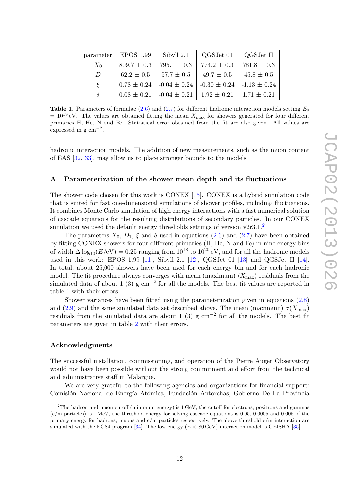| parameter  | <b>EPOS 1.99</b> | Sibyll 2.1       | QGSJet 01        | QGSJet II        |
|------------|------------------|------------------|------------------|------------------|
| $X_0$      | $809.7 \pm 0.3$  | $795.1 \pm 0.3$  | $774.2 \pm 0.3$  | $781.8 \pm 0.3$  |
| $\prime$   | $62.2 \pm 0.5$   | $57.7 \pm 0.5$   | $49.7 \pm 0.5$   | $45.8 \pm 0.5$   |
| $\epsilon$ | $0.78 \pm 0.24$  | $-0.04 \pm 0.24$ | $-0.30 \pm 0.24$ | $-1.13 \pm 0.24$ |
| δ          | $0.08 \pm 0.21$  | $-0.04 \pm 0.21$ | $1.92 \pm 0.21$  | $1.71 \pm 0.21$  |

<span id="page-15-2"></span>**Table 1.** Parameters of formulae [\(2.6\)](#page-5-4) and [\(2.7\)](#page-5-4) for different hadronic interaction models setting  $E_0$  $= 10^{19}$  eV. The values are obtained fitting the mean  $X_{\text{max}}$  for showers generated for four different primaries H, He, N and Fe. Statistical error obtained from the fit are also given. All values are expressed in  $g \text{ cm}^{-2}$ .

hadronic interaction models. The addition of new measurements, such as the muon content of EAS [\[32,](#page-18-12) [33\]](#page-18-13), may allow us to place stronger bounds to the models.

#### <span id="page-15-0"></span>A Parameterization of the shower mean depth and its fluctuations

The shower code chosen for this work is CONEX [\[15\]](#page-17-13). CONEX is a hybrid simulation code that is suited for fast one-dimensional simulations of shower profiles, including fluctuations. It combines Monte Carlo simulation of high energy interactions with a fast numerical solution of cascade equations for the resulting distributions of secondary particles. In our CONEX simulation we used the default energy thresholds settings of version  $v2r3.1$  $v2r3.1$  $v2r3.1$ .<sup>2</sup>

The parameters  $X_0$ ,  $D_1$ ,  $\xi$  and  $\delta$  used in equations [\(2.6\)](#page-5-4) and [\(2.7\)](#page-5-4) have been obtained by fitting CONEX showers for four different primaries (H, He, N and Fe) in nine energy bins of width  $\Delta \log_{10}(E/\text{eV}) = 0.25$  ranging from  $10^{18}$  to  $10^{20}$  eV, and for all the hadronic models used in this work: EPOS 1.99 [\[11\]](#page-17-9), Sibyll 2.1 [\[12\]](#page-17-10), QGSJet 01 [\[13\]](#page-17-11) and QGSJet II [\[14\]](#page-17-12). In total, about 25,000 showers have been used for each energy bin and for each hadronic model. The fit procedure always converges with mean (maximum)  $\langle X_{\text{max}} \rangle$  residuals from the simulated data of about 1 (3) g cm<sup>-2</sup> for all the models. The best fit values are reported in table [1](#page-15-2) with their errors.

Shower variances have been fitted using the parameterization given in equations [\(2.8\)](#page-6-1) and [\(2.9\)](#page-6-4) and the same simulated data set described above. The mean (maximum)  $\sigma(X_{\text{max}})$ residuals from the simulated data are about 1 (3) g cm<sup>-2</sup> for all the models. The best fit parameters are given in table [2](#page-16-0) with their errors.

#### Acknowledgments

The successful installation, commissioning, and operation of the Pierre Auger Observatory would not have been possible without the strong commitment and effort from the technical and administrative staff in Malargüe.

We are very grateful to the following agencies and organizations for financial support: Comisión Nacional de Energía Atómica, Fundación Antorchas, Gobierno De La Provincia

<span id="page-15-1"></span> $2$ The hadron and muon cutoff (minimum energy) is  $1 \,\text{GeV}$ , the cutoff for electrons, positrons and gammas (e/m particles) is 1 MeV, the threshold energy for solving cascade equations is 0.05, 0.0005 and 0.005 of the primary energy for hadrons, muons and e/m particles respectively. The above-threshold e/m interaction are simulated with the EGS4 program [\[34\]](#page-18-14). The low energy  $(E < 80 \text{ GeV})$  interaction model is GEISHA [\[35\]](#page-18-15).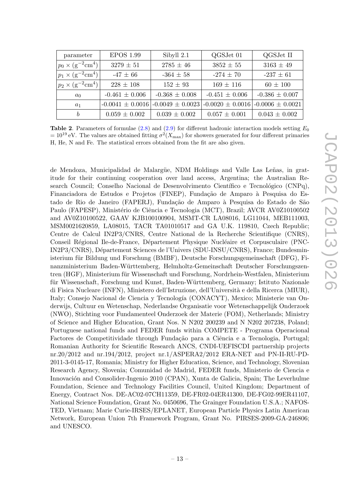| parameter                           | <b>EPOS 1.99</b>     | Sibyll 2.1           | QGSJet 01            | QGSJet II            |
|-------------------------------------|----------------------|----------------------|----------------------|----------------------|
| $p_0 \times (g^{-2} \text{cm}^4)$   | $3279 \pm 51$        | $2785 \pm 46$        | $3852 \pm 55$        | $3163 \pm 49$        |
| $p_1 \times (g^{-2}cm^4)$           | $-47 \pm 66$         | $-364 \pm 58$        | $-274 \pm 70$        | $-237 \pm 61$        |
| $ p_2 \times (g^{-2} \text{cm}^4) $ | $228 \pm 108$        | $152 \pm 93$         | $169 \pm 116$        | $60 \pm 100$         |
| $a_0$                               | $-0.461 \pm 0.006$   | $-0.368 \pm 0.008$   | $-0.451 \pm 0.006$   | $-0.386 \pm 0.007$   |
| $a_1$                               | $-0.0041 \pm 0.0016$ | $-0.0049 \pm 0.0023$ | $-0.0020 \pm 0.0016$ | $-0.0006 \pm 0.0021$ |
| b                                   | $0.059 \pm 0.002$    | $0.039 \pm 0.002$    | $0.057 \pm 0.001$    | $0.043 \pm 0.002$    |

<span id="page-16-0"></span>**Table 2.** Parameters of formulae [\(2.8\)](#page-6-1) and [\(2.9\)](#page-6-4) for different hadronic interaction models setting  $E_0$  $= 10^{19}$  eV. The values are obtained fitting  $\sigma^2(X_{\text{max}})$  for showers generated for four different primaries H, He, N and Fe. The statistical errors obtained from the fit are also given.

de Mendoza, Municipalidad de Malargüe, NDM Holdings and Valle Las Leñas, in gratitude for their continuing cooperation over land access, Argentina; the Australian Research Council; Conselho Nacional de Desenvolvimento Científico e Tecnológico (CNPq), Financiadora de Estudos e Projetos (FINEP), Fundação de Amparo à Pesquisa do Estado de Rio de Janeiro (FAPERJ), Fundação de Amparo à Pesquisa do Estado de São Paulo (FAPESP), Ministério de Ciência e Tecnologia (MCT), Brazil; AVCR AV0Z10100502 and AV0Z10100522, GAAV KJB100100904, MSMT-CR LA08016, LG11044, MEB111003, MSM0021620859, LA08015, TACR TA01010517 and GA U.K. 119810, Czech Republic; Centre de Calcul IN2P3/CNRS, Centre National de la Recherche Scientifique (CNRS), Conseil Régional Ile-de-France, Département Physique Nucléaire et Corpusculaire (PNC-IN2P3/CNRS), D´epartement Sciences de l'Univers (SDU-INSU/CNRS), France; Bundesministerium für Bildung und Forschung (BMBF), Deutsche Forschungsgemeinschaft (DFG), Finanzministerium Baden-W¨urttemberg, Helmholtz-Gemeinschaft Deutscher Forschungszentren (HGF), Ministerium für Wissenschaft und Forschung, Nordrhein-Westfalen, Ministerium für Wissenschaft, Forschung und Kunst, Baden-Württemberg, Germany; Istituto Nazionale di Fisica Nucleare (INFN), Ministero dell'Istruzione, dell'Università e della Ricerca (MIUR), Italy; Consejo Nacional de Ciencia y Tecnología (CONACYT), Mexico; Ministerie van Onderwijs, Cultuur en Wetenschap, Nederlandse Organisatie voor Wetenschappelijk Onderzoek (NWO), Stichting voor Fundamenteel Onderzoek der Materie (FOM), Netherlands; Ministry of Science and Higher Education, Grant Nos. N N202 200239 and N N202 207238, Poland; Portuguese national funds and FEDER funds within COMPETE - Programa Operacional Factores de Competitividade through Fundação para a Ciência e a Tecnologia, Portugal; Romanian Authority for Scientific Research ANCS, CNDI-UEFISCDI partnership projects nr.20/2012 and nr.194/2012, project nr.1/ASPERA2/2012 ERA-NET and PN-II-RU-PD-2011-3-0145-17, Romania; Ministry for Higher Education, Science, and Technology, Slovenian Research Agency, Slovenia; Comunidad de Madrid, FEDER funds, Ministerio de Ciencia e Innovación and Consolider-Ingenio 2010 (CPAN), Xunta de Galicia, Spain; The Leverhulme Foundation, Science and Technology Facilities Council, United Kingdom; Department of Energy, Contract Nos. DE-AC02-07CH11359, DE-FR02-04ER41300, DE-FG02-99ER41107, National Science Foundation, Grant No. 0450696, The Grainger Foundation U.S.A.; NAFOS-TED, Vietnam; Marie Curie-IRSES/EPLANET, European Particle Physics Latin American Network, European Union 7th Framework Program, Grant No. PIRSES-2009-GA-246806; and UNESCO.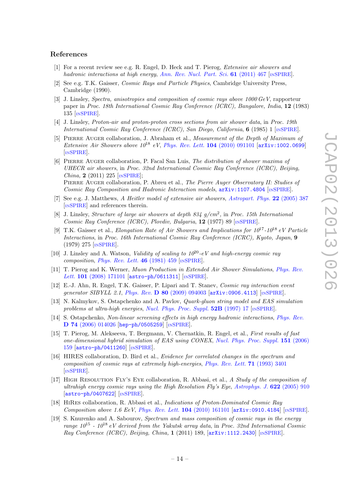#### References

- <span id="page-17-0"></span>[1] For a recent review see e.g. R. Engel, D. Heck and T. Pierog, Extensive air showers and hadronic interactions at high energy, [Ann. Rev. Nucl. Part. Sci.](http://dx.doi.org/10.1146/annurev.nucl.012809.104544) 61 (2011) 467 [IN[SPIRE](http://inspirehep.net/search?p=find+J+Ann.Rev.Nucl.Part.Sci.,61,467)].
- <span id="page-17-1"></span>[2] See e.g. T.K. Gaisser, Cosmic Rays and Particle Physics, Cambridge University Press, Cambridge (1990).
- <span id="page-17-2"></span>[3] J. Linsley, Spectra, anisotropies and composition of cosmic rays above 1000 GeV, rapporteur paper in Proc. 18th International Cosmic Ray Conference (ICRC), Bangalore, India, 12 (1983) 135 [IN[SPIRE](http://inspirehep.net/search?p=find+PRINT-84-0165)].
- <span id="page-17-3"></span>[4] J. Linsley, Proton-air and proton-proton cross sections from air shower data, in Proc. 19th International Cosmic Ray Conference (ICRC), San Diego, California, 6 (1985) 1 [IN[SPIRE](http://inspirehep.net/search?p=find+Linsley:1985mm)].
- <span id="page-17-4"></span>[5] PIERRE AUGER collaboration, J. Abraham et al., *Measurement of the Depth of Maximum of* Extensive Air Showers above  $10^{18}$  eV, [Phys. Rev. Lett.](http://dx.doi.org/10.1103/PhysRevLett.104.091101) 104 (2010) 091101 [[arXiv:1002.0699](http://arxiv.org/abs/1002.0699)] [IN[SPIRE](http://inspirehep.net/search?p=find+J+Phys.Rev.Lett.,104,091101)].
- <span id="page-17-5"></span>[6] Pierre Auger collaboration, P. Facal San Luis, The distribution of shower maxima of UHECR air showers, in Proc. 32nd International Cosmic Ray Conference (ICRC), Beijing, *China*, 2 (2011) 225  $[NSPIRE]$  $[NSPIRE]$  $[NSPIRE]$ ; PIERRE AUGER collaboration, P. Abreu et al., The Pierre Auger Observatory II: Studies of Cosmic Ray Composition and Hadronic Interaction models, [arXiv:1107.4804](http://arxiv.org/abs/1107.4804) [IN[SPIRE](http://inspirehep.net/search?p=find+EPRINT+arXiv:1107.4804)].
- <span id="page-17-6"></span>[7] See e.g. J. Matthews, A Heitler model of extensive air showers, [Astropart. Phys.](http://dx.doi.org/10.1016/j.astropartphys.2004.09.003) 22 (2005) 387 [IN[SPIRE](http://inspirehep.net/search?p=find+J+Astropart.Phys.,22,387)] and references therein.
- <span id="page-17-7"></span>[8] J. Linsley, Structure of large air showers at depth  $834$   $g/cm^2$ , in Proc. 15th International Cosmic Ray Conference (ICRC), Plovdiv, Bulgaria, 12 (1977) 89 [IN[SPIRE](http://inspirehep.net/search?p=find+Linsley:1978xw)].
- [9] T.K. Gaisser et al., Elongation Rate of Air Showers and Implications for  $10^{17}$ - $10^{18}$  eV Particle Interactions, in Proc. 16th International Cosmic Ray Conference (ICRC), Kyoto, Japan, 9 (1979) 275 [IN[SPIRE](http://inspirehep.net/search?p=find+Gaisser:1979ja)].
- <span id="page-17-8"></span>[10] J. Linsley and A. Watson, *Validity of scaling to*  $10^{20}$ *-eV and high-energy cosmic ray* composition, *[Phys. Rev. Lett.](http://dx.doi.org/10.1103/PhysRevLett.46.459)* **46** (1981) 459 [IN[SPIRE](http://inspirehep.net/search?p=find+J+Phys.Rev.Lett.,46,459)].
- <span id="page-17-9"></span>[11] T. Pierog and K. Werner, Muon Production in Extended Air Shower Simulations, [Phys. Rev.](http://dx.doi.org/10.1103/PhysRevLett.101.171101) Lett. 101 [\(2008\) 171101](http://dx.doi.org/10.1103/PhysRevLett.101.171101) [[astro-ph/0611311](http://arxiv.org/abs/astro-ph/0611311)] [IN[SPIRE](http://inspirehep.net/search?p=find+J+Phys.Rev.Lett.,101,171101)].
- <span id="page-17-10"></span>[12] E.-J. Ahn, R. Engel, T.K. Gaisser, P. Lipari and T. Stanev, Cosmic ray interaction event generator SIBYLL 2.1, Phys. Rev. D 80 [\(2009\) 094003](http://dx.doi.org/10.1103/PhysRevD.80.094003) [[arXiv:0906.4113](http://arxiv.org/abs/0906.4113)] [IN[SPIRE](http://inspirehep.net/search?p=find+J+Phys.Rev.,D80,094003)].
- <span id="page-17-11"></span>[13] N. Kalmykov, S. Ostapchenko and A. Pavlov, Quark-gluon string model and EAS simulation problems at ultra-high energies, [Nucl. Phys. Proc. Suppl.](http://dx.doi.org/10.1016/S0920-5632(96)00846-8)  $52B$  (1997) 17 [IN[SPIRE](http://inspirehep.net/search?p=find+J+Nucl.Phys.Proc.Suppl.,52B,17)].
- <span id="page-17-12"></span>[14] S. Ostapchenko, Non-linear screening effects in high energy hadronic interactions, [Phys. Rev.](http://dx.doi.org/10.1103/PhysRevD.74.014026) D 74 [\(2006\) 014026](http://dx.doi.org/10.1103/PhysRevD.74.014026) [[hep-ph/0505259](http://arxiv.org/abs/hep-ph/0505259)] [IN[SPIRE](http://inspirehep.net/search?p=find+J+Phys.Rev.,D74,014026)].
- <span id="page-17-13"></span>[15] T. Pierog, M. Alekseeva, T. Bergmann, V. Chernatkin, R. Engel, et al., First results of fast one-dimensional hybrid simulation of EAS using CONEX, [Nucl. Phys. Proc. Suppl.](http://dx.doi.org/10.1016/j.nuclphysBPS.2005.07.029) 151 (2006) [159](http://dx.doi.org/10.1016/j.nuclphysBPS.2005.07.029) [[astro-ph/0411260](http://arxiv.org/abs/astro-ph/0411260)] [IN[SPIRE](http://inspirehep.net/search?p=find+J+Nucl.Phys.Proc.Suppl.,151,159)].
- <span id="page-17-14"></span>[16] HIRES collaboration, D. Bird et al., Evidence for correlated changes in the spectrum and composition of cosmic rays at extremely high-energies, [Phys. Rev. Lett.](http://dx.doi.org/10.1103/PhysRevLett.71.3401) 71 (1993) 3401 [IN[SPIRE](http://inspirehep.net/search?p=find+J+Phys.Rev.Lett.,71,3401)].
- <span id="page-17-15"></span>[17] High Resolution Fly's Eye collaboration, R. Abbasi, et al., A Study of the composition of ultrahigh energy cosmic rays using the High Resolution Fly's Eye, [Astrophys. J.](http://dx.doi.org/10.1086/427931)  $622$  (2005) 910 [[astro-ph/0407622](http://arxiv.org/abs/astro-ph/0407622)] [IN[SPIRE](http://inspirehep.net/search?p=find+EPRINT+astro-ph/0407622)].
- <span id="page-17-16"></span>[18] HiRes collaboration, R. Abbasi et al., Indications of Proton-Dominated Cosmic Ray Composition above 1.6 EeV, [Phys. Rev. Lett.](http://dx.doi.org/10.1103/PhysRevLett.104.161101) 104 (2010) 161101 [[arXiv:0910.4184](http://arxiv.org/abs/0910.4184)] [IN[SPIRE](http://inspirehep.net/search?p=find+J+Phys.Rev.Lett.,104,161101)].
- <span id="page-17-17"></span>[19] S. Knurenko and A. Sabourov, Spectrum and mass composition of cosmic rays in the energy range  $10^{15}$  -  $10^{18}$  eV derived from the Yakutsk array data, in Proc. 32nd International Cosmic Ray Conference (ICRC), Beijing, China, 1 (2011) 189,  $\left[$ [arXiv:1112.2430](http://arxiv.org/abs/1112.2430) $\right]$  [IN[SPIRE](http://inspirehep.net/search?p=find+EPRINT+arXiv:1112.2430)].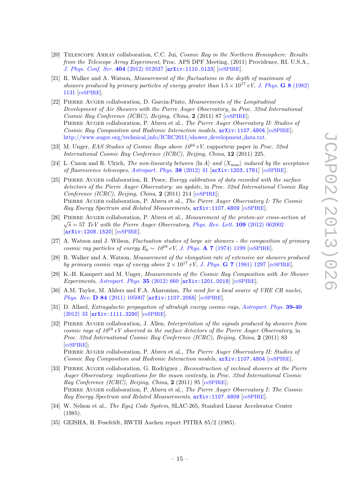- <span id="page-18-1"></span>[20] TELESCOPE ARRAY collaboration, C.C. Jui, Cosmic Ray in the Northern Hemisphere: Results from the Telescope Array Experiment, Proc. APS DPF Meeting, (2011) Providence, RI, U.S.A., [J. Phys. Conf. Ser.](http://dx.doi.org/10.1088/1742-6596/404/1/012037) 404 (2012) 012037 [[arXiv:1110.0133](http://arxiv.org/abs/1110.0133)] [IN[SPIRE](http://inspirehep.net/search?p=find+EPRINT+arXiv:1110.0133)].
- <span id="page-18-2"></span>[21] R. Walker and A. Watson, Measurement of the fluctuations in the depth of maximum of showers produced by primary particles of energy greater than  $1.5 \times 10^{17}$  eV, [J. Phys.](http://dx.doi.org/10.1088/0305-4616/8/8/016) G 8 (1982) [1131](http://dx.doi.org/10.1088/0305-4616/8/8/016) [IN[SPIRE](http://inspirehep.net/search?p=find+J+J.Phys.,G8,1131)].
- <span id="page-18-0"></span>[22] Pierre Auger collaboration, D. Garcia-Pinto, Measurements of the Longitudinal Development of Air Showers with the Pierre Auger Observatory, in Proc. 32nd International Cosmic Ray Conference (ICRC), Beijing, China, 2 (2011) 87  $\sqrt{SNR}$ . PIERRE AUGER collaboration, P. Abreu et al., The Pierre Auger Observatory II: Studies of Cosmic Ray Composition and Hadronic Interaction models,  $arXiv:1107.4804$  [IN[SPIRE](http://inspirehep.net/search?p=find+EPRINT+arXiv:1107.4804)]; [http://www.auger.org/technical](http://www.auger.org/technical_info/ICRC2011/shower_development_data.txt)\_info/ICRC2011/shower\_development\_data.txt.
- <span id="page-18-3"></span>[23] M. Unger, EAS Studies of Cosmic Rays above  $10^{16}$  eV, rapporteur paper in Proc. 32nd International Cosmic Ray Conference (ICRC), Beijing, China, 12 (2011) 225.
- <span id="page-18-4"></span>[24] L. Cazon and R. Ulrich, The non-linearity between  $\langle \ln A \rangle$  and  $\langle X_{\text{max}} \rangle$  induced by the acceptance of fluorescence telescopes, [Astropart. Phys.](http://dx.doi.org/10.1016/j.astropartphys.2012.09.001) 38 (2012) 41 [[arXiv:1203.1781](http://arxiv.org/abs/1203.1781)] [IN[SPIRE](http://inspirehep.net/search?p=find+J+Astropart.Phys.,38,41)].
- <span id="page-18-5"></span>[25] PIERRE AUGER collaboration, R. Pesce, *Energy calibration of data recorded with the surface* detectors of the Pierre Auger Observatory: an update, in Proc. 32nd International Cosmic Ray Conference (ICRC), Beijing, China,  $2(2011)$  214 [IN[SPIRE](http://inspirehep.net/search?p=find+Pesce:2011zz)]; Pierre Auger collaboration, P. Abreu et al., The Pierre Auger Observatory I: The Cosmic Ray Energy Spectrum and Related Measurements,  $arXiv:1107.4809$  [IN[SPIRE](http://inspirehep.net/search?p=find+EPRINT+arXiv:1107.4809)].
- <span id="page-18-6"></span>[26] PIERRE AUGER collaboration, P. Abreu et al., *Measurement of the proton-air cross-section at*  $\sqrt{s} = 57$  TeV with the Pierre Auger Observatory, [Phys. Rev. Lett.](http://dx.doi.org/10.1103/PhysRevLett.109.062002) 109 (2012) 062002 [[arXiv:1208.1520](http://arxiv.org/abs/1208.1520)] [IN[SPIRE](http://inspirehep.net/search?p=find+J+Phys.Rev.Lett.,109,062002)].
- <span id="page-18-7"></span>[27] A. Watson and J. Wilson, Fluctuation studies of large air showers - the composition of primary cosmic ray particles of energy  $E_p \sim 10^{18}$  eV, J. Phys. **A 7** [\(1974\) 1199](http://dx.doi.org/10.1088/0305-4470/7/10/013) [IN[SPIRE](http://inspirehep.net/search?p=find+J+J.Phys.,A7,1199)].
- <span id="page-18-8"></span>[28] R. Walker and A. Watson, Measurement of the elongation rate of extensive air showers produced by primary cosmic rays of energy above  $2 \times 10^{17}$  eV, J. Phys. G 7 [\(1981\) 1297](http://dx.doi.org/10.1088/0305-4616/7/9/021) [IN[SPIRE](http://inspirehep.net/search?p=find+J+J.Phys.,G7,1297)].
- <span id="page-18-9"></span>[29] K.-H. Kampert and M. Unger, *Measurements of the Cosmic Ray Composition with Air Shower* Experiments, [Astropart. Phys.](http://dx.doi.org/10.1016/j.astropartphys.2012.02.004) 35 (2012) 660  $\left[$ [arXiv:1201.0018](http://arxiv.org/abs/1201.0018) $\right]$   $\left[$ IN[SPIRE](http://inspirehep.net/search?p=find+660.Astropart.Phys.,35,660) $\right]$ .
- <span id="page-18-10"></span>[30] A.M. Taylor, M. Ahlers and F.A. Aharonian, The need for a local source of UHE CR nuclei, Phys. Rev. D 84 [\(2011\) 105007](http://dx.doi.org/10.1103/PhysRevD.84.105007) [[arXiv:1107.2055](http://arxiv.org/abs/1107.2055)] [IN[SPIRE](http://inspirehep.net/search?p=find+J+Phys.Rev.,D84,105007)].
- <span id="page-18-11"></span>[31] D. Allard, *Extragalactic propagation of ultrahigh energy cosmic-rays, [Astropart. Phys.](http://dx.doi.org/10.1016/j.astropartphys.2011.10.011)* **39-40**  $(2012)$  33  $[$ [arXiv:1111.3290](http://arxiv.org/abs/1111.3290) $]$  $[$ IN[SPIRE](http://inspirehep.net/search?p=find+EPRINT+arXiv:1111.3290) $]$ .
- <span id="page-18-12"></span>[32] PIERRE AUGER collaboration, J. Allen, *Interpretation of the signals produced by showers from* cosmic rays of  $10^{19}$  eV observed in the surface detectors of the Pierre Auger Observatory, in Proc. 32nd International Cosmic Ray Conference (ICRC), Beijing, China, 2 (2011) 83 [IN[SPIRE](http://inspirehep.net/search?p=find+Allen:2011zza)]; PIERRE AUGER collaboration, P. Abreu et al., The Pierre Auger Observatory II: Studies of

Cosmic Ray Composition and Hadronic Interaction models, [arXiv:1107.4804](http://arxiv.org/abs/1107.4804) [IN[SPIRE](http://inspirehep.net/search?p=find+EPRINT+arXiv:1107.4804)].

- <span id="page-18-13"></span>[33] PIERRE AUGER collaboration, G. Rodriguez, Reconstruction of inclined showers at the Pierre Auger Observatory: implications for the muon contenty, in Proc. 32nd International Cosmic Ray Conference (ICRC), Beijing, China, 2 (2011) 95 [IN[SPIRE](http://inspirehep.net/search?p=find+Rodriguez:2011zzb)]; PIERRE AUGER collaboration, P. Abreu et al., The Pierre Auger Observatory I: The Cosmic Ray Energy Spectrum and Related Measurements,  $arXiv:1107.4809$  [IN[SPIRE](http://inspirehep.net/search?p=find+EPRINT+arXiv:1107.4809)].
- <span id="page-18-14"></span>[34] W. Nelson et al., *The Egs4 Code System*, SLAC-265, Stanford Linear Accelerator Center (1985).
- <span id="page-18-15"></span>[35] GEISHA, H. Fesefeldt, RWTH Aachen report PITHA 85/2 (1985).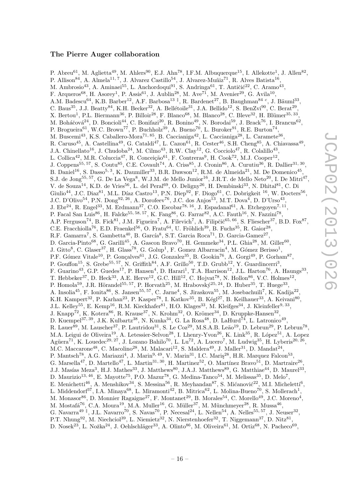#### The Pierre Auger collaboration

<span id="page-19-0"></span>P. Abreu<sup>61</sup>, M. Aglietta<sup>49</sup>, M. Ahlers<sup>90</sup>, E.J. Ahn<sup>78</sup>, I.F.M. Albuquerque<sup>15</sup>, I. Allekotte<sup>1</sup>, J. Allen<sup>82</sup>, P. Allison<sup>84</sup>, A. Almela<sup>11, 7</sup>, J. Alvarez Castillo<sup>54</sup>, J. Alvarez-Muñiz<sup>71</sup>, R. Alves Batista<sup>16</sup>, M. Ambrosio<sup>43</sup>, A. Aminaei<sup>55</sup>, L. Anchordoqui<sup>91</sup>, S. Andringa<sup>61</sup>, T. Antičić<sup>22</sup>, C. Aramo<sup>43</sup>, F. Arqueros<sup>68</sup>, H. Asorey<sup>1</sup>, P. Assis<sup>61</sup>, J. Aublin<sup>28</sup>, M. Ave<sup>71</sup>, M. Avenier<sup>29</sup>, G. Avila<sup>10</sup>, A.M. Badescu<sup>64</sup>, K.B. Barber<sup>12</sup>, A.F. Barbosa<sup>13‡</sup>, R. Bardenet<sup>27</sup>, B. Baughman<sup>84</sup><sup>c</sup>, J. Bäuml<sup>33</sup>, C. Baus<sup>35</sup>, J.J. Beatty<sup>84</sup>, K.H. Becker<sup>32</sup>, A. Bellétoile<sup>31</sup>, J.A. Bellido<sup>12</sup>, S. BenZvi<sup>90</sup>, C. Berat<sup>29</sup>, X. Bertou<sup>1</sup>, P.L. Biermann<sup>36</sup>, P. Billoir<sup>28</sup>, F. Blanco<sup>68</sup>, M. Blanco<sup>28</sup>, C. Bleve<sup>32</sup>, H. Blümer<sup>35, 33</sup>, M. Boháčová $^{24}$ , D. Boncioli $^{44}$ , C. Bonifazi<sup>20</sup>, R. Bonino<sup>49</sup>, N. Borodai<sup>59</sup>, J. Brack<sup>76</sup>, I. Brancus<sup>62</sup>, P. Brogueira<sup>61</sup>, W.C. Brown<sup>77</sup>, P. Buchholz<sup>39</sup>, A. Bueno<sup>70</sup>, L. Buroker<sup>91</sup>, R.E. Burton<sup>74</sup>, M. Buscemi<sup>43</sup>, K.S. Caballero-Mora<sup>71, 85</sup>, B. Caccianiga<sup>42</sup>, L. Caccianiga<sup>28</sup>, L. Caramete<sup>36</sup>, R. Caruso<sup>45</sup>, A. Castellina<sup>49</sup>, G. Cataldi<sup>47</sup>, L. Cazon<sup>61</sup>, R. Cester<sup>46</sup>, S.H. Cheng<sup>85</sup>, A. Chiavassa<sup>49</sup>, J.A. Chinellato<sup>16</sup>, J. Chudoba<sup>24</sup>, M. Cilmo<sup>43</sup>, R.W. Clay<sup>12</sup>, G. Cocciolo<sup>47</sup>, R. Colalillo<sup>43</sup>, L. Collica<sup>42</sup>, M.R. Coluccia<sup>47</sup>, R. Conceição<sup>61</sup>, F. Contreras<sup>9</sup>, H. Cook<sup>72</sup>, M.J. Cooper<sup>12</sup>, J. Coppens<sup>55, 57</sup>, S. Coutu<sup>85</sup>, C.E. Covault<sup>74</sup>, A. Criss<sup>85</sup>, J. Cronin<sup>86</sup>, A. Curutiu<sup>36</sup>, R. Dallier<sup>31, 30</sup>, B. Daniel<sup>16</sup>, S. Dasso<sup>5, 3</sup>, K. Daumiller<sup>33</sup>, B.R. Dawson<sup>12</sup>, R.M. de Almeida<sup>21</sup>, M. De Domenico<sup>45</sup>, S.J. de Jong<sup>55, 57</sup>, G. De La Vega<sup>8</sup>, W.J.M. de Mello Junior<sup>16</sup>, J.R.T. de Mello Neto<sup>20</sup>, I. De Mitri<sup>47</sup>, V. de Souza<sup>14</sup>, K.D. de Vries<sup>56</sup>, L. del Peral<sup>69</sup>, O. Deligny<sup>26</sup>, H. Dembinski<sup>33</sup>, N. Dhital<sup>81</sup>, C. Di Giulio<sup>44</sup>, J.C. Diaz<sup>81</sup>, M.L. Díaz Castro<sup>13</sup>, P.N. Diep<sup>92</sup>, F. Diogo<sup>61</sup>, C. Dobrigkeit <sup>16</sup>, W. Docters<sup>56</sup>, J.C. D'Olivo<sup>54</sup>, P.N. Dong<sup>92, 26</sup>, A. Dorofeev<sup>76</sup>, J.C. dos Anjos<sup>13</sup>, M.T. Dova<sup>4</sup>, D. D'Urso<sup>43</sup>, J. Ebr<sup>24</sup>, R. Engel<sup>33</sup>, M. Erdmann<sup>37</sup>, C.O. Escobar<sup>78, 16</sup>, J. Espadanal<sup>61</sup>, A. Etchegoyen<sup>7, 11</sup>, P. Facal San Luis<sup>86</sup>, H. Falcke<sup>55, 58, 57</sup>, K. Fang<sup>86</sup>, G. Farrar<sup>82</sup>, A.C. Fauth<sup>16</sup>, N. Fazzini<sup>78</sup>, A.P. Ferguson<sup>74</sup>, B. Fick<sup>81</sup>, J.M. Figueira<sup>7</sup>, A. Filevich<sup>7</sup>, A. Filipčič<sup>65, 66</sup>, S. Fliescher<sup>37</sup>, B.D. Fox<sup>87</sup>, C.E. Fracchiolla<sup>76</sup>, E.D. Fraenkel<sup>56</sup>, O. Fratu<sup>64</sup>, U. Fröhlich<sup>39</sup>, B. Fuchs<sup>35</sup>, R. Gaior<sup>28</sup>, R.F. Gamarra<sup>7</sup>, S. Gambetta<sup>40</sup>, B. García<sup>8</sup>, S.T. Garcia Roca<sup>71</sup>, D. Garcia-Gamez<sup>27</sup>, D. Garcia-Pinto<sup>68</sup>, G. Garilli<sup>45</sup>, A. Gascon Bravo<sup>70</sup>, H. Gemmeke<sup>34</sup>, P.L. Ghia<sup>28</sup>, M. Giller<sup>60</sup>, J. Gitto<sup>8</sup>, C. Glaser<sup>37</sup>, H. Glass<sup>78</sup>, G. Golup<sup>1</sup>, F. Gomez Albarracin<sup>4</sup>, M. Gómez Berisso<sup>1</sup>, P.F. Gómez Vitale<sup>10</sup>, P. Gonçalves<sup>61</sup>, J.G. Gonzalez<sup>35</sup>, B. Gookin<sup>76</sup>, A. Gorgi<sup>49</sup>, P. Gorham<sup>87</sup>, P. Gouffon<sup>15</sup>, S. Grebe<sup>55, 57</sup>, N. Griffith<sup>84</sup>, A.F. Grillo<sup>50</sup>, T.D. Grubb<sup>12</sup>, Y. Guardincerri<sup>3</sup>, F. Guarino<sup>43</sup>, G.P. Guedes<sup>17</sup>, P. Hansen<sup>4</sup>, D. Harari<sup>1</sup>, T.A. Harrison<sup>12</sup>, J.L. Harton<sup>76</sup>, A. Haungs<sup>33</sup>, T. Hebbeker<sup>37</sup>, D. Heck<sup>33</sup>, A.E. Herve<sup>12</sup>, G.C. Hill<sup>12</sup>, C. Hojvat<sup>78</sup>, N. Hollon<sup>86</sup>, V.C. Holmes<sup>12</sup>, P. Homola<sup>59</sup>, J.R. Hörandel<sup>55, 57</sup>, P. Horvath<sup>25</sup>, M. Hrabovský<sup>25, 24</sup>, D. Huber<sup>35</sup>, T. Huege<sup>33</sup>, A. Insolia<sup>45</sup>, F. Ionita<sup>86</sup>, S. Jansen<sup>55, 57</sup>, C. Jarne<sup>4</sup>, S. Jiraskova<sup>55</sup>, M. Josebachuili<sup>7</sup>, K. Kadija<sup>22</sup>, K.H. Kampert<sup>32</sup>, P. Karhan<sup>23</sup>, P. Kasper<sup>78</sup>, I. Katkov<sup>35</sup>, B. Kégl<sup>27</sup>, B. Keilhauer<sup>33</sup>, A. Keivani<sup>80</sup>, J.L. Kelley<sup>55</sup>, E. Kemp<sup>16</sup>, R.M. Kieckhafer<sup>81</sup>, H.O. Klages<sup>33</sup>, M. Kleifges<sup>34</sup>, J. Kleinfeller<sup>9, 33</sup>, J. Knapp<sup>72</sup>, K. Kotera<sup>86</sup>, R. Krause<sup>37</sup>, N. Krohm<sup>32</sup>, O. Krömer<sup>34</sup>, D. Kruppke-Hansen<sup>32</sup>, D. Kuempel<sup>37, 39</sup>, J.K. Kulbartz<sup>38</sup>, N. Kunka<sup>34</sup>, G. La Rosa<sup>48</sup>, D. LaHurd<sup>74</sup>, L. Latronico<sup>49</sup>, R. Lauer<sup>89</sup>, M. Lauscher<sup>37</sup>, P. Lautridou<sup>31</sup>, S. Le Coz<sup>29</sup>, M.S.A.B. Leão<sup>19</sup>, D. Lebrun<sup>29</sup>, P. Lebrun<sup>78</sup>, M.A. Leigui de Oliveira<sup>19</sup>, A. Letessier-Selvon<sup>28</sup>, I. Lhenry-Yvon<sup>26</sup>, K. Link<sup>35</sup>, R. López<sup>51</sup>, A. Lopez Agüera<sup>71</sup>, K. Louedec<sup>29, 27</sup>, J. Lozano Bahilo<sup>70</sup>, L. Lu<sup>72</sup>, A. Lucero<sup>7</sup>, M. Ludwig<sup>35</sup>, H. Lyberis<sup>20, 26</sup>, M.C. Maccarone<sup>48</sup>, C. Macolino<sup>28</sup>, M. Malacari<sup>12</sup>, S. Maldera<sup>49</sup>, J. Maller<sup>31</sup>, D. Mandat<sup>24</sup>, P. Mantsch<sup>78</sup>, A.G. Mariazzi<sup>4</sup>, J. Marin<sup>9, 49</sup>, V. Marin<sup>31</sup>, I.C. Maris<sup>28</sup>, H.R. Marquez Falcon<sup>53</sup>, G. Marsella<sup>47</sup>, D. Martello<sup>47</sup>, L. Martin<sup>31, 30</sup>, H. Martinez<sup>52</sup>, O. Martínez Bravo<sup>51</sup>, D. Martraire<sup>26</sup>, J.J. Masías Meza<sup>3</sup>, H.J. Mathes<sup>33</sup>, J. Matthews<sup>80</sup>, J.A.J. Matthews<sup>89</sup>, G. Matthiae<sup>44</sup>, D. Maurel<sup>33</sup>, D. Maurizio<sup>13, 46</sup>, E. Mayotte<sup>75</sup>, P.O. Mazur<sup>78</sup>, G. Medina-Tanco<sup>54</sup>, M. Melissas<sup>35</sup>, D. Melo<sup>7</sup>, E. Menichetti<sup>46</sup>, A. Menshikov<sup>34</sup>, S. Messina<sup>56</sup>, R. Meyhandan<sup>87</sup>, S. Mićanović<sup>22</sup>, M.I. Micheletti<sup>6</sup>, L. Middendorf<sup>37</sup>, I.A. Minaya<sup>68</sup>, L. Miramonti<sup>42</sup>, B. Mitrica<sup>62</sup>, L. Molina-Bueno<sup>70</sup>, S. Mollerach<sup>1</sup>, M. Monasor<sup>86</sup>, D. Monnier Ragaigne<sup>27</sup>, F. Montanet<sup>29</sup>, B. Morales<sup>54</sup>, C. Morello<sup>49</sup>, J.C. Moreno<sup>4</sup>, M. Mostafá<sup>76</sup>, C.A. Moura<sup>19</sup>, M.A. Muller<sup>16</sup>, G. Müller<sup>37</sup>, M. Münchmeyer<sup>28</sup>, R. Mussa<sup>46</sup>, G. Navarra<sup>49‡</sup>, J.L. Navarro<sup>70</sup>, S. Navas<sup>70</sup>, P. Necesal<sup>24</sup>, L. Nellen<sup>54</sup>, A. Nelles<sup>55, 57</sup>, J. Neuser<sup>32</sup>, P.T. Nhung<sup>92</sup>, M. Niechciol<sup>39</sup>, L. Niemietz<sup>32</sup>, N. Nierstenhoefer<sup>32</sup>, T. Niggemann<sup>37</sup>, D. Nitz<sup>81</sup>, D. Nosek<sup>23</sup>, L. Nožka<sup>24</sup>, J. Oehlschläger<sup>33</sup>, A. Olinto<sup>86</sup>, M. Oliveira<sup>61</sup>, M. Ortiz<sup>68</sup>, N. Pacheco<sup>69</sup>,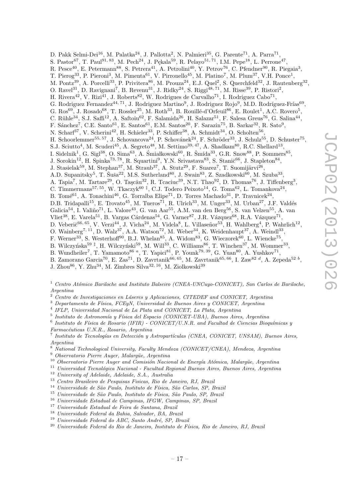D. Pakk Selmi-Dei<sup>16</sup>, M. Palatka<sup>24</sup>, J. Pallotta<sup>2</sup>, N. Palmieri<sup>35</sup>, G. Parente<sup>71</sup>, A. Parra<sup>71</sup>, S. Pastor<sup>67</sup>, T. Paul<sup>91, 83</sup>, M. Pech<sup>24</sup>, J. Pękala<sup>59</sup>, R. Pelayo<sup>51, 71</sup>, I.M. Pepe<sup>18</sup>, L. Perrone<sup>47</sup>, R. Pesce<sup>40</sup>, E. Petermann<sup>88</sup>, S. Petrera<sup>41</sup>, A. Petrolini<sup>40</sup>, Y. Petrov<sup>76</sup>, C. Pfendner<sup>90</sup>, R. Piegaia<sup>3</sup>, T. Pierog<sup>33</sup>, P. Pieroni<sup>3</sup>, M. Pimenta<sup>61</sup>, V. Pirronello<sup>45</sup>, M. Platino<sup>7</sup>, M. Plum<sup>37</sup>, V.H. Ponce<sup>1</sup>, M. Pontz<sup>39</sup>, A. Porcelli<sup>33</sup>, P. Privitera<sup>86</sup>, M. Prouza<sup>24</sup>, E.J. Quel<sup>2</sup>, S. Querchfeld<sup>32</sup>, J. Rautenberg<sup>32</sup>, O. Ravel<sup>31</sup>, D. Ravignani<sup>7</sup>, B. Revenu<sup>31</sup>, J. Ridky<sup>24</sup>, S. Riggi<sup>48, 71</sup>, M. Risse<sup>39</sup>, P. Ristori<sup>2</sup>, H. Rivera<sup>42</sup>, V. Rizi<sup>41</sup>, J. Roberts<sup>82</sup>, W. Rodrigues de Carvalho<sup>71</sup>, I. Rodriguez Cabo<sup>71</sup>, G. Rodriguez Fernandez<sup>44, 71</sup>, J. Rodriguez Martino<sup>9</sup>, J. Rodriguez Rojo<sup>9</sup>, M.D. Rodríguez-Frías<sup>69</sup>, G. Ros<sup>69</sup>, J. Rosado<sup>68</sup>, T. Rossler<sup>25</sup>, M. Roth<sup>33</sup>, B. Rouillé-d'Orfeuil<sup>86</sup>, E. Roulet<sup>1</sup>, A.C. Rovero<sup>5</sup>, C. Rühle<sup>34</sup>, S.J. Saffi<sup>12</sup>, A. Saftoiu<sup>62</sup>, F. Salamida<sup>26</sup>, H. Salazar<sup>51</sup>, F. Salesa Greus<sup>76</sup>, G. Salina<sup>44</sup>, F. Sánchez<sup>7</sup>, C.E. Santo<sup>61</sup>, E. Santos<sup>61</sup>, E.M. Santos<sup>20</sup>, F. Sarazin<sup>75</sup>, B. Sarkar<sup>32</sup>, R. Sato<sup>9</sup>, N. Scharf<sup>37</sup>, V. Scherini<sup>42</sup>, H. Schieler<sup>33</sup>, P. Schiffer<sup>38</sup>, A. Schmidt<sup>34</sup>, O. Scholten<sup>56</sup>, H. Schoorlemmer<sup>55, 57</sup>, J. Schovancova<sup>24</sup>, P. Schovánek<sup>24</sup>, F. Schröder<sup>33</sup>, J. Schulz<sup>55</sup>, D. Schuster<sup>75</sup>, S.J. Sciutto<sup>4</sup>, M. Scuderi<sup>45</sup>, A. Segreto<sup>48</sup>, M. Settimo<sup>39, 47</sup>, A. Shadkam<sup>80</sup>, R.C. Shellard<sup>13</sup>, I. Sidelnik<sup>1</sup>, G. Sigl<sup>38</sup>, O. Sima<sup>63</sup>, A. Śmiałkowski<sup>60</sup>, R. Šmída<sup>33</sup>, G.R. Snow<sup>88</sup>, P. Sommers<sup>85</sup>, J. Sorokin<sup>12</sup>, H. Spinka<sup>73, 78</sup>, R. Squartini<sup>9</sup>, Y.N. Srivastava<sup>83</sup>, S. Stanič<sup>66</sup>, J. Stapleton<sup>84</sup>, J. Stasielak<sup>59</sup>, M. Stephan<sup>37</sup>, M. Straub<sup>37</sup>, A. Stutz<sup>29</sup>, F. Suarez<sup>7</sup>, T. Suomijärvi<sup>26</sup>, A.D. Supanitsky<sup>5</sup>, T. Šuša<sup>22</sup>, M.S. Sutherland<sup>80</sup>, J. Swain<sup>83</sup>, Z. Szadkowski<sup>60</sup>, M. Szuba<sup>33</sup>, A. Tapia<sup>7</sup>, M. Tartare<sup>29</sup>, O. Taşcău<sup>32</sup>, R. Tcaciuc<sup>39</sup>, N.T. Thao<sup>92</sup>, D. Thomas<sup>76</sup>, J. Tiffenberg<sup>3</sup>, C. Timmermans<sup>57, 55</sup>, W. Tkaczyk<sup>60‡</sup>, C.J. Todero Peixoto<sup>14</sup>, G. Toma<sup>62</sup>, L. Tomankova<sup>24</sup>, B. Tomé<sup>61</sup>, A. Tonachini<sup>46</sup>, G. Torralba Elipe<sup>71</sup>, D. Torres Machado<sup>31</sup>, P. Travnicek<sup>24</sup>, D.B. Tridapalli<sup>15</sup>, E. Trovato<sup>45</sup>, M. Tueros<sup>71</sup>, R. Ulrich<sup>33</sup>, M. Unger<sup>33</sup>, M. Urban<sup>27</sup>, J.F. Valdés Galicia<sup>54</sup>, I. Valiño<sup>71</sup>, L. Valore<sup>43</sup>, G. van Aar<sup>55</sup>, A.M. van den Berg<sup>56</sup>, S. van Velzen<sup>55</sup>, A. van Vliet<sup>38</sup>, E. Varela<sup>51</sup>, B. Vargas Cárdenas<sup>54</sup>, G. Varner<sup>87</sup>, J.R. Vázquez<sup>68</sup>, R.A. Vázquez<sup>71</sup>, D. Veberič<sup>66, 65</sup>, V. Verzi<sup>44</sup>, J. Vicha<sup>24</sup>, M. Videla<sup>8</sup>, L. Villaseñor<sup>53</sup>, H. Wahlberg<sup>4</sup>, P. Wahrlich<sup>12</sup>, O. Wainberg<sup>7, 11</sup>, D. Walz<sup>37</sup>, A.A. Watson<sup>72</sup>, M. Weber<sup>34</sup>, K. Weidenhaupt<sup>37</sup>, A. Weindl<sup>33</sup>, F. Werner<sup>33</sup>, S. Westerhoff<sup>90</sup>, B.J. Whelan<sup>85</sup>, A. Widom<sup>83</sup>, G. Wieczorek<sup>60</sup>, L. Wiencke<sup>75</sup>, B. Wilczyńska<sup>59‡</sup>, H. Wilczyński<sup>59</sup>, M. Will<sup>33</sup>, C. Williams<sup>86</sup>, T. Winchen<sup>37</sup>, M. Wommer<sup>33</sup>, B. Wundheiler<sup>7</sup>, T. Yamamoto<sup>86 a</sup>, T. Yapici<sup>81</sup>, P. Younk<sup>79, 39</sup>, G. Yuan<sup>80</sup>, A. Yushkov<sup>71</sup>, B. Zamorano Garcia<sup>70</sup>, E. Zas<sup>71</sup>, D. Zavrtanik<sup>66, 65</sup>, M. Zavrtanik<sup>65, 66</sup>, I. Zaw<sup>82</sup><sup>d</sup>, A. Zepeda<sup>52</sup><sup>b</sup>, J. Zhou<sup>86</sup>, Y. Zhu<sup>34</sup>, M. Zimbres Silva<sup>32, 16</sup>, M. Ziolkowski<sup>39</sup>

<sup>1</sup> Centro Atómico Bariloche and Instituto Balseiro (CNEA-UNCuyo-CONICET), San Carlos de Bariloche, Argentina

<sup>2</sup> Centro de Investigaciones en Láseres y Aplicaciones, CITEDEF and CONICET, Argentina

 $3$  Departamento de Física, FCEyN, Universidad de Buenos Aires y CONICET, Argentina

4 IFLP, Universidad Nacional de La Plata and CONICET, La Plata, Argentina

<sup>5</sup> Instituto de Astronomía y Física del Espacio (CONICET-UBA), Buenos Aires, Argentina

<sup>6</sup> Instituto de Física de Rosario (IFIR) - CONICET/U.N.R. and Facultad de Ciencias Bioquímicas y Farmacéuticas U.N.R., Rosario, Argentina

<sup>7</sup> Instituto de Tecnologías en Detección y Astropartículas (CNEA, CONICET, UNSAM), Buenos Aires, Argentina

<sup>8</sup> National Technological University, Faculty Mendoza (CONICET/CNEA), Mendoza, Argentina

- $9$  Observatorio Pierre Auger, Malargüe, Argentina
- $10$  Observatorio Pierre Auger and Comisión Nacional de Energía Atómica, Malargüe, Argentina
- $11$  Universidad Tecnológica Nacional Facultad Regional Buenos Aires, Buenos Aires, Argentina
- <sup>12</sup> University of Adelaide, Adelaide, S.A., Australia
- <sup>13</sup> Centro Brasileiro de Pesquisas Fisicas, Rio de Janeiro, RJ, Brazil
- $^\mathrm{14}$ Universidade de São Paulo, Instituto de Física, São Carlos, SP, Brazil
- $^{15}\,$ Universidade de São Paulo, Instituto de Física, São Paulo, SP, Brazil
- <sup>16</sup> Universidade Estadual de Campinas, IFGW, Campinas, SP, Brazil
- <sup>17</sup> Universidade Estadual de Feira de Santana, Brazil
- <sup>18</sup> Universidade Federal da Bahia, Salvador, BA, Brazil
- $19$  Universidade Federal do ABC, Santo André, SP, Brazil
- $^{20}$  Universidade Federal do Rio de Janeiro, Instituto de Física, Rio de Janeiro, R.J. Brazil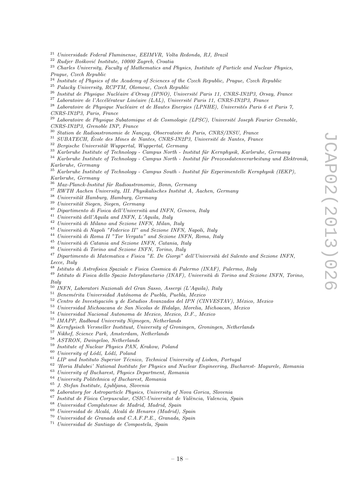- Universidade Federal Fluminense, EEIMVR, Volta Redonda, RJ, Brazil
- Rudjer Bošković Institute, 10000 Zagreb, Croatia
- <sup>23</sup> Charles University, Faculty of Mathematics and Physics, Institute of Particle and Nuclear Physics, Prague, Czech Republic
- <sup>24</sup> Institute of Physics of the Academy of Sciences of the Czech Republic, Prague, Czech Republic
- Palacky University, RCPTM, Olomouc, Czech Republic
- <sup>26</sup> Institut de Physique Nucléaire d'Orsay (IPNO), Université Paris 11, CNRS-IN2P3, Orsay, France
- Laboratoire de l'Accélérateur Linéaire (LAL), Université Paris 11, CNRS-IN2P3, France
- $^{28}$  Laboratoire de Physique Nucléaire et de Hautes Energies (LPNHE), Universités Paris 6 et Paris 7, CNRS-IN2P3, Paris, France
- Laboratoire de Physique Subatomique et de Cosmologie (LPSC), Université Joseph Fourier Grenoble, CNRS-IN2P3, Grenoble INP, France
- <sup>30</sup> Station de Radioastronomie de Nançay, Observatoire de Paris, CNRS/INSU, France
- SUBATECH, École des Mines de Nantes, CNRS-IN2P3, Université de Nantes, France
- Bergische Universität Wuppertal, Wuppertal, Germany
- Karlsruhe Institute of Technology Campus North Institut für Kernphysik, Karlsruhe, Germany
- Karlsruhe Institute of Technology Campus North Institut für Prozessdatenverarbeitung und Elektronik, Karlsruhe, Germany
- Karlsruhe Institute of Technology Campus South Institut für Experimentelle Kernphysik (IEKP), Karlsruhe, Germany
- Max-Planck-Institut für Radioastronomie, Bonn, Germany
- RWTH Aachen University, III. Physikalisches Institut A, Aachen, Germany
- Universität Hamburg, Hamburg, Germany
- <sup>39</sup> Universität Siegen, Siegen, Germany
- $^{40}$  Dipartimento di Fisica dell'Università and INFN, Genova, Italy
- $^{41}$  Università dell'Aquila and INFN, L'Aquila, Italy
- Università di Milano and Sezione INFN, Milan, Italy
- <sup>43</sup> Università di Napoli "Federico II" and Sezione INFN, Napoli, Italy
- Università di Roma II "Tor Vergata" and Sezione INFN, Roma, Italy
- Università di Catania and Sezione INFN, Catania, Italy
- Università di Torino and Sezione INFN, Torino, Italy
- Dipartimento di Matematica e Fisica "E. De Giorgi" dell'Università del Salento and Sezione INFN, Lecce, Italy
- Istituto di Astrofisica Spaziale e Fisica Cosmica di Palermo (INAF), Palermo, Italy
- <sup>49</sup> Istituto di Fisica dello Spazio Interplanetario (INAF), Università di Torino and Sezione INFN, Torino, Italy
- INFN, Laboratori Nazionali del Gran Sasso, Assergi (L'Aquila), Italy
- Benemérita Universidad Autónoma de Puebla, Puebla, Mexico
- Centro de Investigación y de Estudios Avanzados del IPN (CINVESTAV), México, Mexico
- Universidad Michoacana de San Nicolas de Hidalgo, Morelia, Michoacan, Mexico
- Universidad Nacional Autonoma de Mexico, Mexico, D.F., Mexico
- IMAPP, Radboud University Nijmegen, Netherlands
- Kernfysisch Versneller Instituut, University of Groningen, Groningen, Netherlands
- Nikhef, Science Park, Amsterdam, Netherlands
- ASTRON, Dwingeloo, Netherlands
- Institute of Nuclear Physics PAN, Krakow, Poland
- University of Lódź, Lódź, Poland
- LIP and Instituto Superior Técnico, Technical University of Lisbon, Portugal
- 'Horia Hulubei' National Institute for Physics and Nuclear Engineering, Bucharest- Magurele, Romania
- University of Bucharest, Physics Department, Romania
- University Politehnica of Bucharest, Romania
- J. Stefan Institute, Ljubljana, Slovenia
- Laboratory for Astroparticle Physics, University of Nova Gorica, Slovenia
- Institut de Física Corpuscular, CSIC-Universitat de València, Valencia, Spain
- Universidad Complutense de Madrid, Madrid, Spain
- Universidad de Alcalá, Alcalá de Henares (Madrid), Spain
- Universidad de Granada and C.A.F.P.E., Granada, Spain
- Universidad de Santiago de Compostela, Spain